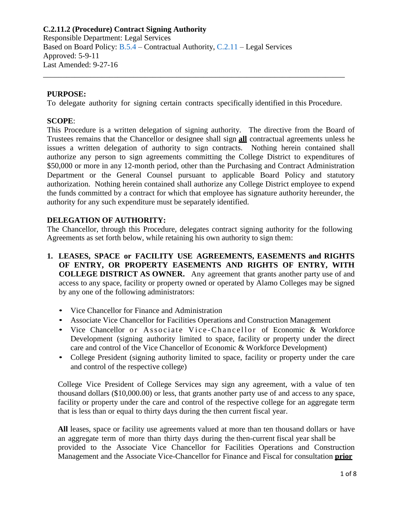Responsible Department: Legal Services Based on Board Policy: [B.5.4](https://www.alamo.edu/siteassets/district/about-us/leadership/board-of-trustees/policies-pdfs/section-b/b.5.4-policy.pdf) – Contractual Authority, [C.2.11](https://www.alamo.edu/siteassets/district/about-us/leadership/board-of-trustees/policies-pdfs/section-c/c.2.11-policy.pdf) – Legal Services Approved: 5-9-11 Last Amended: 9-27-16

#### **PURPOSE:**

To delegate authority for signing certain contracts specifically identified in this Procedure.

\_\_\_\_\_\_\_\_\_\_\_\_\_\_\_\_\_\_\_\_\_\_\_\_\_\_\_\_\_\_\_\_\_\_\_\_\_\_\_\_\_\_\_\_\_\_\_\_\_\_\_\_\_\_\_\_\_\_\_\_\_\_\_\_\_\_\_\_\_\_\_\_\_\_\_\_\_

#### **SCOPE**:

This Procedure is a written delegation of signing authority. The directive from the Board of Trustees remains that the Chancellor or designee shall sign **all** contractual agreements unless he issues a written delegation of authority to sign contracts. Nothing herein contained shall authorize any person to sign agreements committing the College District to expenditures of \$50,000 or more in any 12-month period, other than the Purchasing and Contract Administration Department or the General Counsel pursuant to applicable Board Policy and statutory authorization. Nothing herein contained shall authorize any College District employee to expend the funds committed by a contract for which that employee has signature authority hereunder, the authority for any such expenditure must be separately identified.

#### **DELEGATION OF AUTHORITY:**

The Chancellor, through this Procedure, delegates contract signing authority for the following Agreements as set forth below, while retaining his own authority to sign them:

- **1. LEASES, SPACE or FACILITY USE AGREEMENTS, EASEMENTS and RIGHTS OF ENTRY, OR PROPERTY EASEMENTS AND RIGHTS OF ENTRY, WITH COLLEGE DISTRICT AS OWNER.** Any agreement that grants another party use of and access to any space, facility or property owned or operated by Alamo Colleges may be signed by any one of the following administrators:
	- Vice Chancellor for Finance and Administration
	- Associate Vice Chancellor for Facilities Operations and Construction Management
	- Vice Chancellor or Associate Vice-Chancellor of Economic & Workforce Development (signing authority limited to space, facility or property under the direct care and control of the Vice Chancellor of Economic & Workforce Development)
	- College President (signing authority limited to space, facility or property under the care and control of the respective college)

College Vice President of College Services may sign any agreement, with a value of ten thousand dollars (\$10,000.00) or less, that grants another party use of and access to any space, facility or property under the care and control of the respective college for an aggregate term that is less than or equal to thirty days during the then current fiscal year.

**All** leases, space or facility use agreements valued at more than ten thousand dollars or have an aggregate term of more than thirty days during the then-current fiscal year shall be provided to the Associate Vice Chancellor for Facilities Operations and Construction Management and the Associate Vice-Chancellor for Finance and Fiscal for consultation **prior**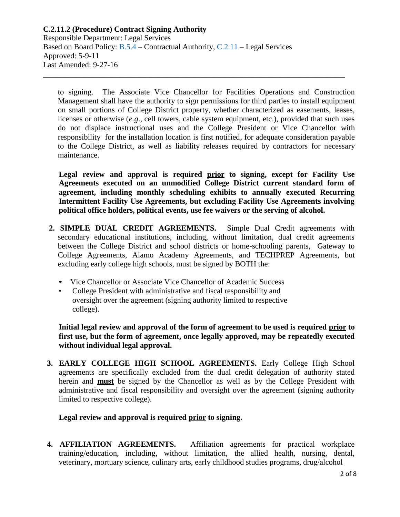### **C.2.11.2 (Procedure) Contract Signing Authority** Responsible Department: Legal Services Based on Board Policy: [B.5.4](https://www.alamo.edu/siteassets/district/about-us/leadership/board-of-trustees/policies-pdfs/section-b/b.5.4-policy.pdf) – Contractual Authority, [C.2.11](https://www.alamo.edu/siteassets/district/about-us/leadership/board-of-trustees/policies-pdfs/section-c/c.2.11-policy.pdf) – Legal Services Approved: 5-9-11 Last Amended: 9-27-16 \_\_\_\_\_\_\_\_\_\_\_\_\_\_\_\_\_\_\_\_\_\_\_\_\_\_\_\_\_\_\_\_\_\_\_\_\_\_\_\_\_\_\_\_\_\_\_\_\_\_\_\_\_\_\_\_\_\_\_\_\_\_\_\_\_\_\_\_\_\_\_\_\_\_\_\_\_

to signing. The Associate Vice Chancellor for Facilities Operations and Construction Management shall have the authority to sign permissions for third parties to install equipment on small portions of College District property, whether characterized as easements, leases, licenses or otherwise (*e.g*., cell towers, cable system equipment, etc.), provided that such uses do not displace instructional uses and the College President or Vice Chancellor with responsibility for the installation location is first notified, for adequate consideration payable to the College District, as well as liability releases required by contractors for necessary maintenance.

**Legal review and approval is required prior to signing, except for Facility Use Agreements executed on an unmodified College District current standard form of agreement, including monthly scheduling exhibits to annually executed Recurring Intermittent Facility Use Agreements, but excluding Facility Use Agreements involving political office holders, political events, use fee waivers or the serving of alcohol.**

- **2. SIMPLE DUAL CREDIT AGREEMENTS.** Simple Dual Credit agreements with secondary educational institutions, including, without limitation, dual credit agreements between the College District and school districts or home-schooling parents, Gateway to College Agreements, Alamo Academy Agreements, and TECHPREP Agreements, but excluding early college high schools, must be signed by BOTH the:
	- Vice Chancellor or Associate Vice Chancellor of Academic Success
	- College President with administrative and fiscal responsibility and oversight over the agreement (signing authority limited to respective college).

**Initial legal review and approval of the form of agreement to be used is required prior to first use, but the form of agreement, once legally approved, may be repeatedly executed without individual legal approval.**

**3. EARLY COLLEGE HIGH SCHOOL AGREEMENTS.** Early College High School agreements are specifically excluded from the dual credit delegation of authority stated herein and **must** be signed by the Chancellor as well as by the College President with administrative and fiscal responsibility and oversight over the agreement (signing authority limited to respective college).

## **Legal review and approval is required prior to signing.**

**4. AFFILIATION AGREEMENTS.** Affiliation agreements for practical workplace training/education, including, without limitation, the allied health, nursing, dental, veterinary, mortuary science, culinary arts, early childhood studies programs, drug/alcohol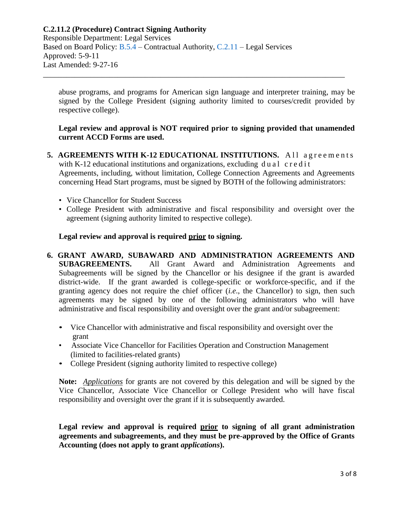Responsible Department: Legal Services Based on Board Policy: [B.5.4](https://www.alamo.edu/siteassets/district/about-us/leadership/board-of-trustees/policies-pdfs/section-b/b.5.4-policy.pdf) – Contractual Authority, [C.2.11](https://www.alamo.edu/siteassets/district/about-us/leadership/board-of-trustees/policies-pdfs/section-c/c.2.11-policy.pdf) – Legal Services Approved: 5-9-11 Last Amended: 9-27-16

abuse programs, and programs for American sign language and interpreter training, may be signed by the College President (signing authority limited to courses/credit provided by respective college).

\_\_\_\_\_\_\_\_\_\_\_\_\_\_\_\_\_\_\_\_\_\_\_\_\_\_\_\_\_\_\_\_\_\_\_\_\_\_\_\_\_\_\_\_\_\_\_\_\_\_\_\_\_\_\_\_\_\_\_\_\_\_\_\_\_\_\_\_\_\_\_\_\_\_\_\_\_

### **Legal review and approval is NOT required prior to signing provided that unamended current ACCD Forms are used.**

- **5. AGREEMENTS WITH K-12 EDUCATIONAL INSTITUTIONS.** All agreements with K-12 educational institutions and organizations, excluding  $du$  al credit Agreements, including, without limitation, College Connection Agreements and Agreements concerning Head Start programs, must be signed by BOTH of the following administrators:
	- Vice Chancellor for Student Success
	- College President with administrative and fiscal responsibility and oversight over the agreement (signing authority limited to respective college).

### **Legal review and approval is required prior to signing.**

- **6. GRANT AWARD, SUBAWARD AND ADMINISTRATION AGREEMENTS AND SUBAGREEMENTS.** All Grant Award and Administration Agreements and Subagreements will be signed by the Chancellor or his designee if the grant is awarded district-wide. If the grant awarded is college-specific or workforce-specific, and if the granting agency does not require the chief officer (*i.e*., the Chancellor) to sign, then such agreements may be signed by one of the following administrators who will have administrative and fiscal responsibility and oversight over the grant and/or subagreement:
	- Vice Chancellor with administrative and fiscal responsibility and oversight over the grant
	- Associate Vice Chancellor for Facilities Operation and Construction Management (limited to facilities-related grants)
	- College President (signing authority limited to respective college)

**Note:** *Applications* for grants are not covered by this delegation and will be signed by the Vice Chancellor, Associate Vice Chancellor or College President who will have fiscal responsibility and oversight over the grant if it is subsequently awarded.

**Legal review and approval is required prior to signing of all grant administration agreements and subagreements, and they must be pre-approved by the Office of Grants Accounting (does not apply to grant** *applications***).**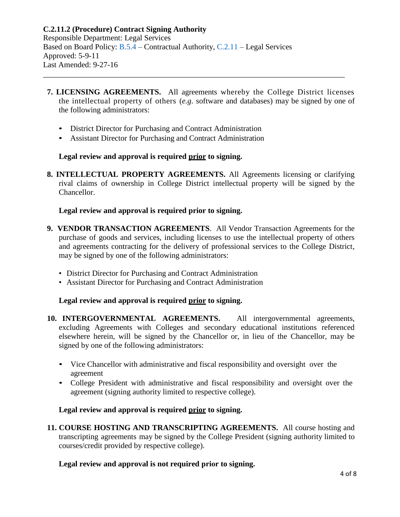Based on Board Policy: [B.5.4](https://www.alamo.edu/siteassets/district/about-us/leadership/board-of-trustees/policies-pdfs/section-b/b.5.4-policy.pdf) – Contractual Authority, [C.2.11](https://www.alamo.edu/siteassets/district/about-us/leadership/board-of-trustees/policies-pdfs/section-c/c.2.11-policy.pdf) – Legal Services Approved: 5-9-11 Last Amended: 9-27-16

**7. LICENSING AGREEMENTS.** All agreements whereby the College District licenses the intellectual property of others (*e.g*. software and databases) may be signed by one of the following administrators:

\_\_\_\_\_\_\_\_\_\_\_\_\_\_\_\_\_\_\_\_\_\_\_\_\_\_\_\_\_\_\_\_\_\_\_\_\_\_\_\_\_\_\_\_\_\_\_\_\_\_\_\_\_\_\_\_\_\_\_\_\_\_\_\_\_\_\_\_\_\_\_\_\_\_\_\_\_

- District Director for Purchasing and Contract Administration
- Assistant Director for Purchasing and Contract Administration

## **Legal review and approval is required prior to signing.**

**8. INTELLECTUAL PROPERTY AGREEMENTS.** All Agreements licensing or clarifying rival claims of ownership in College District intellectual property will be signed by the Chancellor.

# **Legal review and approval is required prior to signing.**

- **9. VENDOR TRANSACTION AGREEMENTS**. All Vendor Transaction Agreements for the purchase of goods and services, including licenses to use the intellectual property of others and agreements contracting for the delivery of professional services to the College District, may be signed by one of the following administrators:
	- District Director for Purchasing and Contract Administration
	- Assistant Director for Purchasing and Contract Administration

# **Legal review and approval is required prior to signing.**

- **10. INTERGOVERNMENTAL AGREEMENTS.** All intergovernmental agreements, excluding Agreements with Colleges and secondary educational institutions referenced elsewhere herein, will be signed by the Chancellor or, in lieu of the Chancellor, may be signed by one of the following administrators:
	- Vice Chancellor with administrative and fiscal responsibility and oversight over the agreement
	- College President with administrative and fiscal responsibility and oversight over the agreement (signing authority limited to respective college).

# **Legal review and approval is required prior to signing.**

**11. COURSE HOSTING AND TRANSCRIPTING AGREEMENTS.** All course hosting and transcripting agreements may be signed by the College President (signing authority limited to courses/credit provided by respective college).

## **Legal review and approval is not required prior to signing.**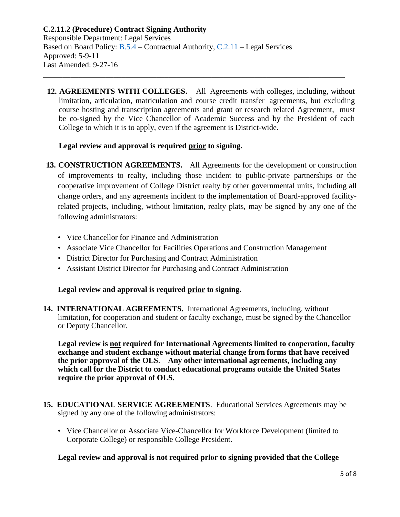**12. AGREEMENTS WITH COLLEGES.** All Agreements with colleges, including, without limitation, articulation, matriculation and course credit transfer agreements, but excluding course hosting and transcription agreements and grant or research related Agreement, must be co-signed by the Vice Chancellor of Academic Success and by the President of each College to which it is to apply, even if the agreement is District-wide.

### **Legal review and approval is required prior to signing.**

- **13. CONSTRUCTION AGREEMENTS.** All Agreements for the development or construction of improvements to realty, including those incident to public-private partnerships or the cooperative improvement of College District realty by other governmental units, including all change orders, and any agreements incident to the implementation of Board-approved facilityrelated projects, including, without limitation, realty plats, may be signed by any one of the following administrators:
	- Vice Chancellor for Finance and Administration
	- Associate Vice Chancellor for Facilities Operations and Construction Management
	- District Director for Purchasing and Contract Administration
	- Assistant District Director for Purchasing and Contract Administration

#### **Legal review and approval is required prior to signing.**

**14. INTERNATIONAL AGREEMENTS.** International Agreements, including, without limitation, for cooperation and student or faculty exchange, must be signed by the Chancellor or Deputy Chancellor.

**Legal review is not required for International Agreements limited to cooperation, faculty exchange and student exchange without material change from forms that have received the prior approval of the OLS**. **Any other international agreements, including any which call for the District to conduct educational programs outside the United States require the prior approval of OLS.**

- **15. EDUCATIONAL SERVICE AGREEMENTS**. Educational Services Agreements may be signed by any one of the following administrators:
	- Vice Chancellor or Associate Vice-Chancellor for Workforce Development (limited to Corporate College) or responsible College President.

**Legal review and approval is not required prior to signing provided that the College**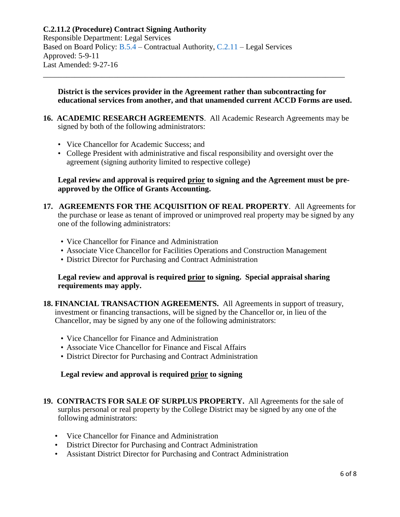Responsible Department: Legal Services Based on Board Policy: [B.5.4](https://www.alamo.edu/siteassets/district/about-us/leadership/board-of-trustees/policies-pdfs/section-b/b.5.4-policy.pdf) – Contractual Authority, [C.2.11](https://www.alamo.edu/siteassets/district/about-us/leadership/board-of-trustees/policies-pdfs/section-c/c.2.11-policy.pdf) – Legal Services Approved: 5-9-11 Last Amended: 9-27-16

#### **District is the services provider in the Agreement rather than subcontracting for educational services from another, and that unamended current ACCD Forms are used.**

**16. ACADEMIC RESEARCH AGREEMENTS**. All Academic Research Agreements may be signed by both of the following administrators:

\_\_\_\_\_\_\_\_\_\_\_\_\_\_\_\_\_\_\_\_\_\_\_\_\_\_\_\_\_\_\_\_\_\_\_\_\_\_\_\_\_\_\_\_\_\_\_\_\_\_\_\_\_\_\_\_\_\_\_\_\_\_\_\_\_\_\_\_\_\_\_\_\_\_\_\_\_

- Vice Chancellor for Academic Success; and
- College President with administrative and fiscal responsibility and oversight over the agreement (signing authority limited to respective college)

#### **Legal review and approval is required prior to signing and the Agreement must be preapproved by the Office of Grants Accounting.**

- **17. AGREEMENTS FOR THE ACQUISITION OF REAL PROPERTY**. All Agreements for the purchase or lease as tenant of improved or unimproved real property may be signed by any one of the following administrators:
	- Vice Chancellor for Finance and Administration
	- Associate Vice Chancellor for Facilities Operations and Construction Management
	- District Director for Purchasing and Contract Administration

#### **Legal review and approval is required prior to signing. Special appraisal sharing requirements may apply.**

- **18. FINANCIAL TRANSACTION AGREEMENTS.** All Agreements in support of treasury, investment or financing transactions, will be signed by the Chancellor or, in lieu of the Chancellor, may be signed by any one of the following administrators:
	- Vice Chancellor for Finance and Administration
	- Associate Vice Chancellor for Finance and Fiscal Affairs
	- District Director for Purchasing and Contract Administration

#### **Legal review and approval is required prior to signing**

- **19. CONTRACTS FOR SALE OF SURPLUS PROPERTY.** All Agreements for the sale of surplus personal or real property by the College District may be signed by any one of the following administrators:
	- Vice Chancellor for Finance and Administration
	- District Director for Purchasing and Contract Administration
	- Assistant District Director for Purchasing and Contract Administration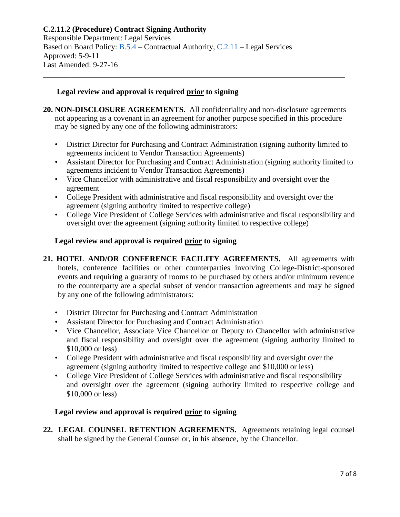Responsible Department: Legal Services Based on Board Policy: [B.5.4](https://www.alamo.edu/siteassets/district/about-us/leadership/board-of-trustees/policies-pdfs/section-b/b.5.4-policy.pdf) – Contractual Authority, [C.2.11](https://www.alamo.edu/siteassets/district/about-us/leadership/board-of-trustees/policies-pdfs/section-c/c.2.11-policy.pdf) – Legal Services Approved: 5-9-11 Last Amended: 9-27-16

#### **Legal review and approval is required prior to signing**

**20. NON-DISCLOSURE AGREEMENTS**. All confidentiality and non-disclosure agreements not appearing as a covenant in an agreement for another purpose specified in this procedure may be signed by any one of the following administrators:

\_\_\_\_\_\_\_\_\_\_\_\_\_\_\_\_\_\_\_\_\_\_\_\_\_\_\_\_\_\_\_\_\_\_\_\_\_\_\_\_\_\_\_\_\_\_\_\_\_\_\_\_\_\_\_\_\_\_\_\_\_\_\_\_\_\_\_\_\_\_\_\_\_\_\_\_\_

- District Director for Purchasing and Contract Administration (signing authority limited to agreements incident to Vendor Transaction Agreements)
- Assistant Director for Purchasing and Contract Administration (signing authority limited to agreements incident to Vendor Transaction Agreements)
- Vice Chancellor with administrative and fiscal responsibility and oversight over the agreement
- College President with administrative and fiscal responsibility and oversight over the agreement (signing authority limited to respective college)
- College Vice President of College Services with administrative and fiscal responsibility and oversight over the agreement (signing authority limited to respective college)

### **Legal review and approval is required prior to signing**

- **21. HOTEL AND/OR CONFERENCE FACILITY AGREEMENTS.** All agreements with hotels, conference facilities or other counterparties involving College-District-sponsored events and requiring a guaranty of rooms to be purchased by others and/or minimum revenue to the counterparty are a special subset of vendor transaction agreements and may be signed by any one of the following administrators:
	- District Director for Purchasing and Contract Administration
	- Assistant Director for Purchasing and Contract Administration
	- Vice Chancellor, Associate Vice Chancellor or Deputy to Chancellor with administrative and fiscal responsibility and oversight over the agreement (signing authority limited to \$10,000 or less)
	- College President with administrative and fiscal responsibility and oversight over the agreement (signing authority limited to respective college and \$10,000 or less)
	- College Vice President of College Services with administrative and fiscal responsibility and oversight over the agreement (signing authority limited to respective college and \$10,000 or less)

#### **Legal review and approval is required prior to signing**

**22. LEGAL COUNSEL RETENTION AGREEMENTS.** Agreements retaining legal counsel shall be signed by the General Counsel or, in his absence, by the Chancellor.